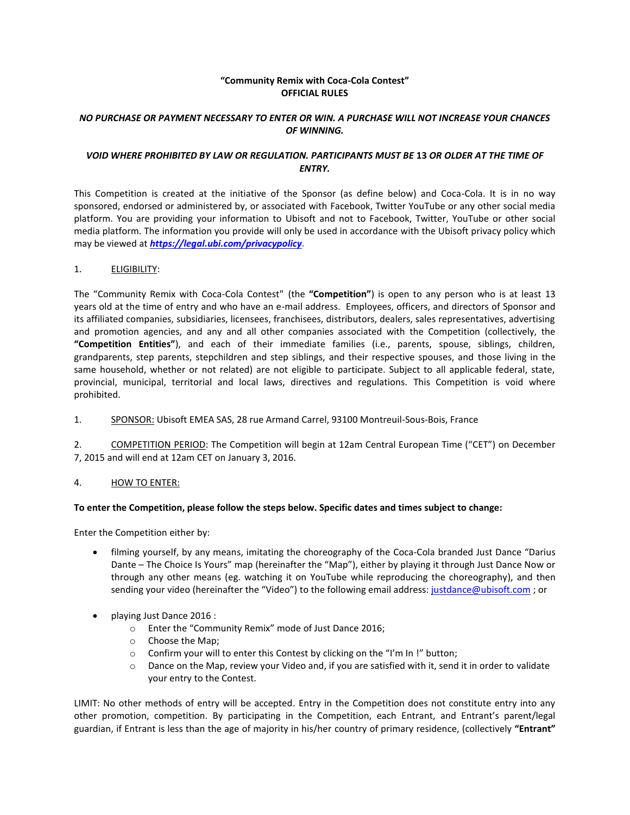## **"Community Remix with Coca-Cola Contest" OFFICIAL RULES**

# *NO PURCHASE OR PAYMENT NECESSARY TO ENTER OR WIN. A PURCHASE WILL NOT INCREASE YOUR CHANCES OF WINNING.*

# *VOID WHERE PROHIBITED BY LAW OR REGULATION. PARTICIPANTS MUST BE* **13** *OR OLDER AT THE TIME OF ENTRY.*

This Competition is created at the initiative of the Sponsor (as define below) and Coca-Cola. It is in no way sponsored, endorsed or administered by, or associated with Facebook, Twitter YouTube or any other social media platform. You are providing your information to Ubisoft and not to Facebook, Twitter, YouTube or other social media platform. The information you provide will only be used in accordance with the Ubisoft privacy policy which may be viewed at *[https://legal.ubi.com/privacypolicy.](https://legal.ubi.com/privacypolicy)*

## 1. ELIGIBILITY:

The "Community Remix with Coca-Cola Contest" (the **"Competition"**) is open to any person who is at least 13 years old at the time of entry and who have an e-mail address. Employees, officers, and directors of Sponsor and its affiliated companies, subsidiaries, licensees, franchisees, distributors, dealers, sales representatives, advertising and promotion agencies, and any and all other companies associated with the Competition (collectively, the **"Competition Entities"**), and each of their immediate families (i.e., parents, spouse, siblings, children, grandparents, step parents, stepchildren and step siblings, and their respective spouses, and those living in the same household, whether or not related) are not eligible to participate. Subject to all applicable federal, state, provincial, municipal, territorial and local laws, directives and regulations. This Competition is void where prohibited.

1. SPONSOR: Ubisoft EMEA SAS, 28 rue Armand Carrel, 93100 Montreuil-Sous-Bois, France

2. COMPETITION PERIOD: The Competition will begin at 12am Central European Time ("CET") on December 7, 2015 and will end at 12am CET on January 3, 2016.

# 4. HOW TO ENTER:

## **To enter the Competition, please follow the steps below. Specific dates and times subject to change:**

Enter the Competition either by:

- filming yourself, by any means, imitating the choreography of the Coca-Cola branded Just Dance "Darius Dante – The Choice Is Yours" map (hereinafter the "Map"), either by playing it through Just Dance Now or through any other means (eg. watching it on YouTube while reproducing the choreography), and then sending your video (hereinafter the "Video") to the following email address: [justdance@ubisoft.com](mailto:justdance@ubisoft.com) ; or
- playing Just Dance 2016 :
	- o Enter the "Community Remix" mode of Just Dance 2016;
	- o Choose the Map;
	- $\circ$  Confirm your will to enter this Contest by clicking on the "I'm In !" button;
	- $\circ$  Dance on the Map, review your Video and, if you are satisfied with it, send it in order to validate your entry to the Contest.

LIMIT: No other methods of entry will be accepted. Entry in the Competition does not constitute entry into any other promotion, competition. By participating in the Competition, each Entrant, and Entrant's parent/legal guardian, if Entrant is less than the age of majority in his/her country of primary residence, (collectively **"Entrant"**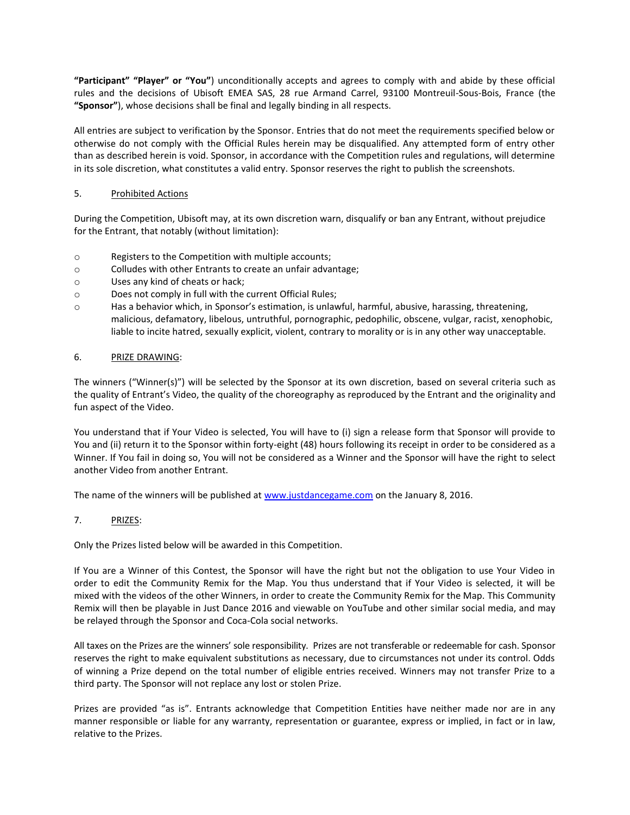**"Participant" "Player" or "You"**) unconditionally accepts and agrees to comply with and abide by these official rules and the decisions of Ubisoft EMEA SAS, 28 rue Armand Carrel, 93100 Montreuil-Sous-Bois, France (the **"Sponsor"**), whose decisions shall be final and legally binding in all respects.

All entries are subject to verification by the Sponsor. Entries that do not meet the requirements specified below or otherwise do not comply with the Official Rules herein may be disqualified. Any attempted form of entry other than as described herein is void. Sponsor, in accordance with the Competition rules and regulations, will determine in its sole discretion, what constitutes a valid entry. Sponsor reserves the right to publish the screenshots.

## 5. Prohibited Actions

During the Competition, Ubisoft may, at its own discretion warn, disqualify or ban any Entrant, without prejudice for the Entrant, that notably (without limitation):

- o Registers to the Competition with multiple accounts;
- o Colludes with other Entrants to create an unfair advantage;
- o Uses any kind of cheats or hack;
- o Does not comply in full with the current Official Rules;
- o Has a behavior which, in Sponsor's estimation, is unlawful, harmful, abusive, harassing, threatening, malicious, defamatory, libelous, untruthful, pornographic, pedophilic, obscene, vulgar, racist, xenophobic, liable to incite hatred, sexually explicit, violent, contrary to morality or is in any other way unacceptable.

## 6. PRIZE DRAWING:

The winners ("Winner(s)") will be selected by the Sponsor at its own discretion, based on several criteria such as the quality of Entrant's Video, the quality of the choreography as reproduced by the Entrant and the originality and fun aspect of the Video.

You understand that if Your Video is selected, You will have to (i) sign a release form that Sponsor will provide to You and (ii) return it to the Sponsor within forty-eight (48) hours following its receipt in order to be considered as a Winner. If You fail in doing so, You will not be considered as a Winner and the Sponsor will have the right to select another Video from another Entrant.

The name of the winners will be published at [www.justdancegame.com](http://www.justdancegame.com/) on the January 8, 2016.

## 7. PRIZES:

Only the Prizes listed below will be awarded in this Competition.

If You are a Winner of this Contest, the Sponsor will have the right but not the obligation to use Your Video in order to edit the Community Remix for the Map. You thus understand that if Your Video is selected, it will be mixed with the videos of the other Winners, in order to create the Community Remix for the Map. This Community Remix will then be playable in Just Dance 2016 and viewable on YouTube and other similar social media, and may be relayed through the Sponsor and Coca-Cola social networks.

All taxes on the Prizes are the winners' sole responsibility. Prizes are not transferable or redeemable for cash. Sponsor reserves the right to make equivalent substitutions as necessary, due to circumstances not under its control. Odds of winning a Prize depend on the total number of eligible entries received. Winners may not transfer Prize to a third party. The Sponsor will not replace any lost or stolen Prize.

Prizes are provided "as is". Entrants acknowledge that Competition Entities have neither made nor are in any manner responsible or liable for any warranty, representation or guarantee, express or implied, in fact or in law, relative to the Prizes.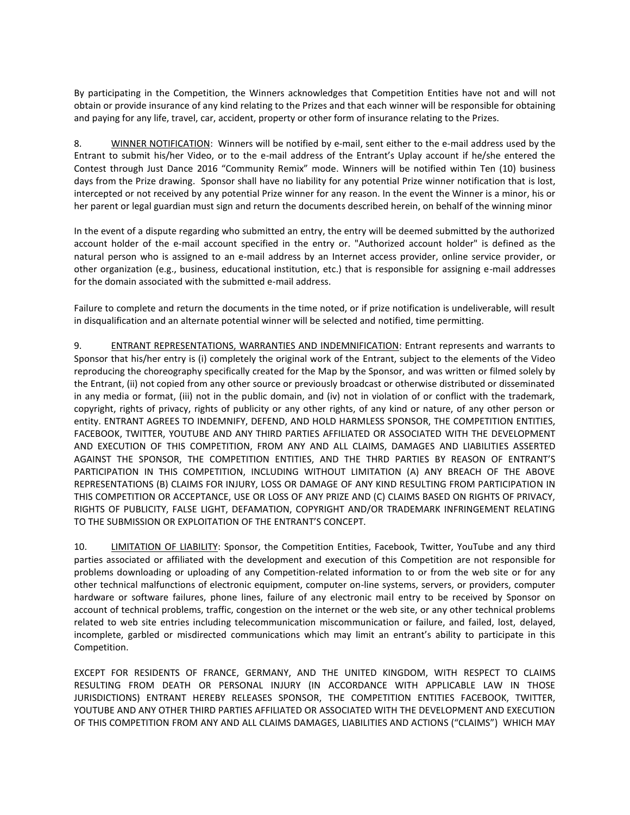By participating in the Competition, the Winners acknowledges that Competition Entities have not and will not obtain or provide insurance of any kind relating to the Prizes and that each winner will be responsible for obtaining and paying for any life, travel, car, accident, property or other form of insurance relating to the Prizes.

8. WINNER NOTIFICATION: Winners will be notified by e-mail, sent either to the e-mail address used by the Entrant to submit his/her Video, or to the e-mail address of the Entrant's Uplay account if he/she entered the Contest through Just Dance 2016 "Community Remix" mode. Winners will be notified within Ten (10) business days from the Prize drawing. Sponsor shall have no liability for any potential Prize winner notification that is lost, intercepted or not received by any potential Prize winner for any reason. In the event the Winner is a minor, his or her parent or legal guardian must sign and return the documents described herein, on behalf of the winning minor

In the event of a dispute regarding who submitted an entry, the entry will be deemed submitted by the authorized account holder of the e-mail account specified in the entry or. "Authorized account holder" is defined as the natural person who is assigned to an e-mail address by an Internet access provider, online service provider, or other organization (e.g., business, educational institution, etc.) that is responsible for assigning e-mail addresses for the domain associated with the submitted e-mail address.

Failure to complete and return the documents in the time noted, or if prize notification is undeliverable, will result in disqualification and an alternate potential winner will be selected and notified, time permitting.

9. ENTRANT REPRESENTATIONS, WARRANTIES AND INDEMNIFICATION: Entrant represents and warrants to Sponsor that his/her entry is (i) completely the original work of the Entrant, subject to the elements of the Video reproducing the choreography specifically created for the Map by the Sponsor, and was written or filmed solely by the Entrant, (ii) not copied from any other source or previously broadcast or otherwise distributed or disseminated in any media or format, (iii) not in the public domain, and (iv) not in violation of or conflict with the trademark, copyright, rights of privacy, rights of publicity or any other rights, of any kind or nature, of any other person or entity. ENTRANT AGREES TO INDEMNIFY, DEFEND, AND HOLD HARMLESS SPONSOR, THE COMPETITION ENTITIES, FACEBOOK, TWITTER, YOUTUBE AND ANY THIRD PARTIES AFFILIATED OR ASSOCIATED WITH THE DEVELOPMENT AND EXECUTION OF THIS COMPETITION, FROM ANY AND ALL CLAIMS, DAMAGES AND LIABILITIES ASSERTED AGAINST THE SPONSOR, THE COMPETITION ENTITIES, AND THE THRD PARTIES BY REASON OF ENTRANT'S PARTICIPATION IN THIS COMPETITION, INCLUDING WITHOUT LIMITATION (A) ANY BREACH OF THE ABOVE REPRESENTATIONS (B) CLAIMS FOR INJURY, LOSS OR DAMAGE OF ANY KIND RESULTING FROM PARTICIPATION IN THIS COMPETITION OR ACCEPTANCE, USE OR LOSS OF ANY PRIZE AND (C) CLAIMS BASED ON RIGHTS OF PRIVACY, RIGHTS OF PUBLICITY, FALSE LIGHT, DEFAMATION, COPYRIGHT AND/OR TRADEMARK INFRINGEMENT RELATING TO THE SUBMISSION OR EXPLOITATION OF THE ENTRANT'S CONCEPT.

10. LIMITATION OF LIABILITY: Sponsor, the Competition Entities, Facebook, Twitter, YouTube and any third parties associated or affiliated with the development and execution of this Competition are not responsible for problems downloading or uploading of any Competition-related information to or from the web site or for any other technical malfunctions of electronic equipment, computer on-line systems, servers, or providers, computer hardware or software failures, phone lines, failure of any electronic mail entry to be received by Sponsor on account of technical problems, traffic, congestion on the internet or the web site, or any other technical problems related to web site entries including telecommunication miscommunication or failure, and failed, lost, delayed, incomplete, garbled or misdirected communications which may limit an entrant's ability to participate in this Competition.

EXCEPT FOR RESIDENTS OF FRANCE, GERMANY, AND THE UNITED KINGDOM, WITH RESPECT TO CLAIMS RESULTING FROM DEATH OR PERSONAL INJURY (IN ACCORDANCE WITH APPLICABLE LAW IN THOSE JURISDICTIONS) ENTRANT HEREBY RELEASES SPONSOR, THE COMPETITION ENTITIES FACEBOOK, TWITTER, YOUTUBE AND ANY OTHER THIRD PARTIES AFFILIATED OR ASSOCIATED WITH THE DEVELOPMENT AND EXECUTION OF THIS COMPETITION FROM ANY AND ALL CLAIMS DAMAGES, LIABILITIES AND ACTIONS ("CLAIMS") WHICH MAY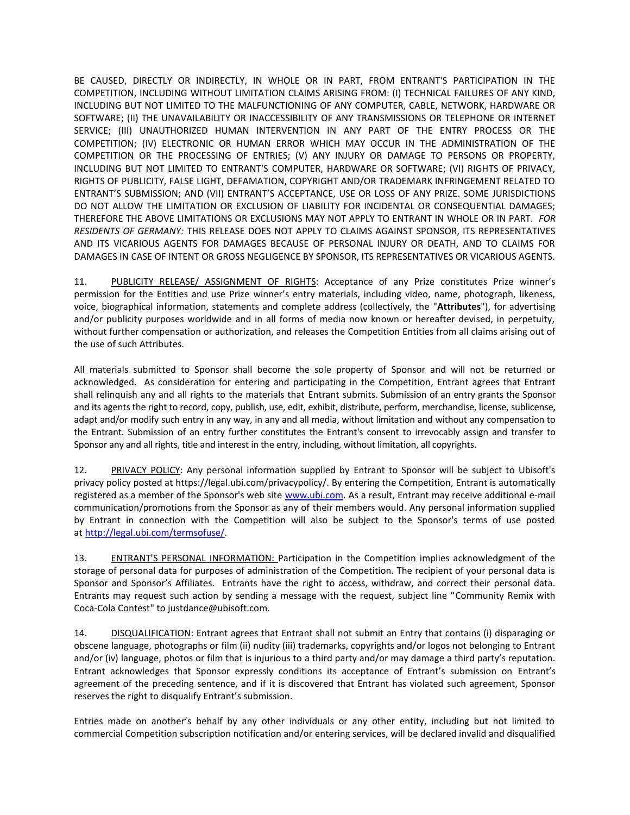BE CAUSED, DIRECTLY OR INDIRECTLY, IN WHOLE OR IN PART, FROM ENTRANT'S PARTICIPATION IN THE COMPETITION, INCLUDING WITHOUT LIMITATION CLAIMS ARISING FROM: (I) TECHNICAL FAILURES OF ANY KIND, INCLUDING BUT NOT LIMITED TO THE MALFUNCTIONING OF ANY COMPUTER, CABLE, NETWORK, HARDWARE OR SOFTWARE; (II) THE UNAVAILABILITY OR INACCESSIBILITY OF ANY TRANSMISSIONS OR TELEPHONE OR INTERNET SERVICE; (III) UNAUTHORIZED HUMAN INTERVENTION IN ANY PART OF THE ENTRY PROCESS OR THE COMPETITION; (IV) ELECTRONIC OR HUMAN ERROR WHICH MAY OCCUR IN THE ADMINISTRATION OF THE COMPETITION OR THE PROCESSING OF ENTRIES; (V) ANY INJURY OR DAMAGE TO PERSONS OR PROPERTY, INCLUDING BUT NOT LIMITED TO ENTRANT'S COMPUTER, HARDWARE OR SOFTWARE; (VI) RIGHTS OF PRIVACY, RIGHTS OF PUBLICITY, FALSE LIGHT, DEFAMATION, COPYRIGHT AND/OR TRADEMARK INFRINGEMENT RELATED TO ENTRANT'S SUBMISSION; AND (VII) ENTRANT'S ACCEPTANCE, USE OR LOSS OF ANY PRIZE. SOME JURISDICTIONS DO NOT ALLOW THE LIMITATION OR EXCLUSION OF LIABILITY FOR INCIDENTAL OR CONSEQUENTIAL DAMAGES; THEREFORE THE ABOVE LIMITATIONS OR EXCLUSIONS MAY NOT APPLY TO ENTRANT IN WHOLE OR IN PART. *FOR RESIDENTS OF GERMANY:* THIS RELEASE DOES NOT APPLY TO CLAIMS AGAINST SPONSOR, ITS REPRESENTATIVES AND ITS VICARIOUS AGENTS FOR DAMAGES BECAUSE OF PERSONAL INJURY OR DEATH, AND TO CLAIMS FOR DAMAGES IN CASE OF INTENT OR GROSS NEGLIGENCE BY SPONSOR, ITS REPRESENTATIVES OR VICARIOUS AGENTS.

11. PUBLICITY RELEASE/ ASSIGNMENT OF RIGHTS: Acceptance of any Prize constitutes Prize winner's permission for the Entities and use Prize winner's entry materials, including video, name, photograph, likeness, voice, biographical information, statements and complete address (collectively, the "**Attributes**"), for advertising and/or publicity purposes worldwide and in all forms of media now known or hereafter devised, in perpetuity, without further compensation or authorization, and releases the Competition Entities from all claims arising out of the use of such Attributes.

All materials submitted to Sponsor shall become the sole property of Sponsor and will not be returned or acknowledged. As consideration for entering and participating in the Competition, Entrant agrees that Entrant shall relinquish any and all rights to the materials that Entrant submits. Submission of an entry grants the Sponsor and its agents the right to record, copy, publish, use, edit, exhibit, distribute, perform, merchandise, license, sublicense, adapt and/or modify such entry in any way, in any and all media, without limitation and without any compensation to the Entrant. Submission of an entry further constitutes the Entrant's consent to irrevocably assign and transfer to Sponsor any and all rights, title and interest in the entry, including, without limitation, all copyrights.

12. PRIVACY POLICY: Any personal information supplied by Entrant to Sponsor will be subject to Ubisoft's privacy policy posted at https://legal.ubi.com/privacypolicy/. By entering the Competition, Entrant is automatically registered as a member of the Sponsor's web site [www.ubi.com.](http://www.ubi.com/) As a result, Entrant may receive additional e-mail communication/promotions from the Sponsor as any of their members would. Any personal information supplied by Entrant in connection with the Competition will also be subject to the Sponsor's terms of use posted at [http://legal.ubi.com/termsofuse/.](http://legal.ubi.com/termsofuse/)

13. ENTRANT'S PERSONAL INFORMATION: Participation in the Competition implies acknowledgment of the storage of personal data for purposes of administration of the Competition. The recipient of your personal data is Sponsor and Sponsor's Affiliates. Entrants have the right to access, withdraw, and correct their personal data. Entrants may request such action by sending a message with the request, subject line "Community Remix with Coca-Cola Contest" to [justdance@ubisoft.com.](mailto:justdance@ubisoft.com)

14. DISQUALIFICATION: Entrant agrees that Entrant shall not submit an Entry that contains (i) disparaging or obscene language, photographs or film (ii) nudity (iii) trademarks, copyrights and/or logos not belonging to Entrant and/or (iv) language, photos or film that is injurious to a third party and/or may damage a third party's reputation. Entrant acknowledges that Sponsor expressly conditions its acceptance of Entrant's submission on Entrant's agreement of the preceding sentence, and if it is discovered that Entrant has violated such agreement, Sponsor reserves the right to disqualify Entrant's submission.

Entries made on another's behalf by any other individuals or any other entity, including but not limited to commercial Competition subscription notification and/or entering services, will be declared invalid and disqualified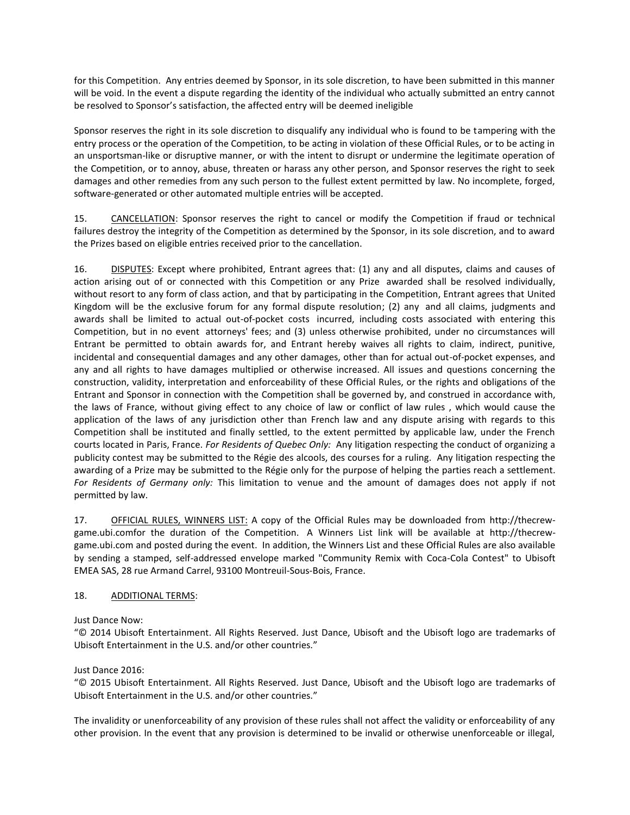for this Competition. Any entries deemed by Sponsor, in its sole discretion, to have been submitted in this manner will be void. In the event a dispute regarding the identity of the individual who actually submitted an entry cannot be resolved to Sponsor's satisfaction, the affected entry will be deemed ineligible

Sponsor reserves the right in its sole discretion to disqualify any individual who is found to be tampering with the entry process or the operation of the Competition, to be acting in violation of these Official Rules, or to be acting in an unsportsman-like or disruptive manner, or with the intent to disrupt or undermine the legitimate operation of the Competition, or to annoy, abuse, threaten or harass any other person, and Sponsor reserves the right to seek damages and other remedies from any such person to the fullest extent permitted by law. No incomplete, forged, software-generated or other automated multiple entries will be accepted.

15. CANCELLATION: Sponsor reserves the right to cancel or modify the Competition if fraud or technical failures destroy the integrity of the Competition as determined by the Sponsor, in its sole discretion, and to award the Prizes based on eligible entries received prior to the cancellation.

16. DISPUTES: Except where prohibited, Entrant agrees that: (1) any and all disputes, claims and causes of action arising out of or connected with this Competition or any Prize awarded shall be resolved individually, without resort to any form of class action, and that by participating in the Competition, Entrant agrees that United Kingdom will be the exclusive forum for any formal dispute resolution; (2) any and all claims, judgments and awards shall be limited to actual out-of-pocket costs incurred, including costs associated with entering this Competition, but in no event attorneys' fees; and (3) unless otherwise prohibited, under no circumstances will Entrant be permitted to obtain awards for, and Entrant hereby waives all rights to claim, indirect, punitive, incidental and consequential damages and any other damages, other than for actual out-of-pocket expenses, and any and all rights to have damages multiplied or otherwise increased. All issues and questions concerning the construction, validity, interpretation and enforceability of these Official Rules, or the rights and obligations of the Entrant and Sponsor in connection with the Competition shall be governed by, and construed in accordance with, the laws of France, without giving effect to any choice of law or conflict of law rules , which would cause the application of the laws of any jurisdiction other than French law and any dispute arising with regards to this Competition shall be instituted and finally settled, to the extent permitted by applicable law, under the French courts located in Paris, France. *For Residents of Quebec Only:* Any litigation respecting the conduct of organizing a publicity contest may be submitted to the Régie des alcools, des courses for a ruling. Any litigation respecting the awarding of a Prize may be submitted to the Régie only for the purpose of helping the parties reach a settlement. *For Residents of Germany only:* This limitation to venue and the amount of damages does not apply if not permitted by law.

17. OFFICIAL RULES, WINNERS LIST: A copy of the Official Rules may be downloaded from http://thecrewgame.ubi.comfor the duration of the Competition. A Winners List link will be available at http://thecrewgame.ubi.com and posted during the event. In addition, the Winners List and these Official Rules are also available by sending a stamped, self-addressed envelope marked "Community Remix with Coca-Cola Contest" to Ubisoft EMEA SAS, 28 rue Armand Carrel, 93100 Montreuil-Sous-Bois, France.

## 18. ADDITIONAL TERMS:

Just Dance Now:

"© 2014 Ubisoft Entertainment. All Rights Reserved. Just Dance, Ubisoft and the Ubisoft logo are trademarks of Ubisoft Entertainment in the U.S. and/or other countries."

## Just Dance 2016:

"© 2015 Ubisoft Entertainment. All Rights Reserved. Just Dance, Ubisoft and the Ubisoft logo are trademarks of Ubisoft Entertainment in the U.S. and/or other countries."

The invalidity or unenforceability of any provision of these rules shall not affect the validity or enforceability of any other provision. In the event that any provision is determined to be invalid or otherwise unenforceable or illegal,